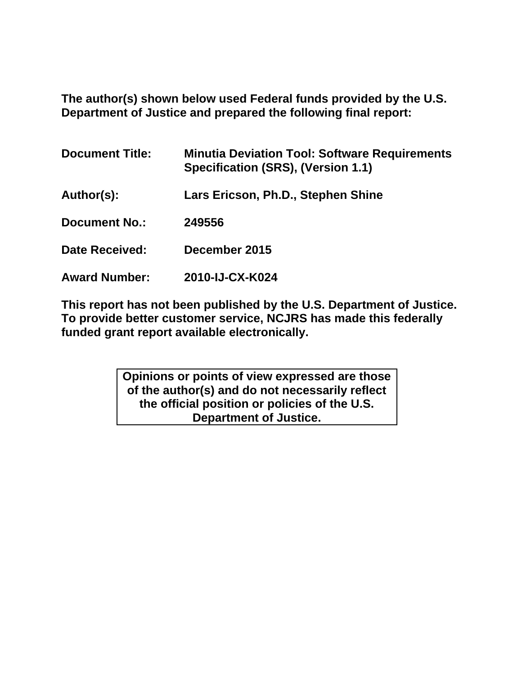**The author(s) shown below used Federal funds provided by the U.S. Department of Justice and prepared the following final report:**

| <b>Document Title:</b> | <b>Minutia Deviation Tool: Software Requirements</b><br>Specification (SRS), (Version 1.1) |
|------------------------|--------------------------------------------------------------------------------------------|
| Author(s):             | Lars Ericson, Ph.D., Stephen Shine                                                         |
| <b>Document No.:</b>   | 249556                                                                                     |
| <b>Date Received:</b>  | December 2015                                                                              |
| <b>Award Number:</b>   | 2010-IJ-CX-K024                                                                            |

**This report has not been published by the U.S. Department of Justice. To provide better customer service, NCJRS has made this federally funded grant report available electronically.** 

> **Opinions or points of view expressed are those of the author(s) and do not necessarily reflect the official position or policies of the U.S. Department of Justice.**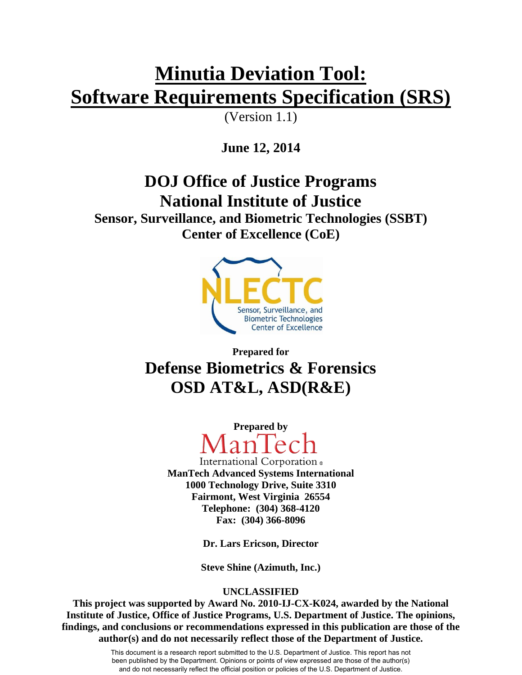# **Minutia Deviation Tool: Software Requirements Specification (SRS)**

(Version 1.1)

**June 12, 2014** 

**DOJ Office of Justice Programs National Institute of Justice** 

**Sensor, Surveillance, and Biometric Technologies (SSBT) Center of Excellence (CoE)** 



**Prepared for Defense Biometrics & Forensics OSD AT&L, ASD(R&E)** 



International Corporation . **ManTech Advanced Systems International 1000 Technology Drive, Suite 3310 Fairmont, West Virginia 26554 Telephone: (304) 368-4120 Fax: (304) 366-8096**

**Dr. Lars Ericson, Director** 

**Steve Shine (Azimuth, Inc.)** 

## **UNCLASSIFIED**

**This project was supported by Award No. 2010-IJ-CX-K024, awarded by the National Institute of Justice, Office of Justice Programs, U.S. Department of Justice. The opinions, findings, and conclusions or recommendations expressed in this publication are those of the author(s) and do not necessarily reflect those of the Department of Justice.**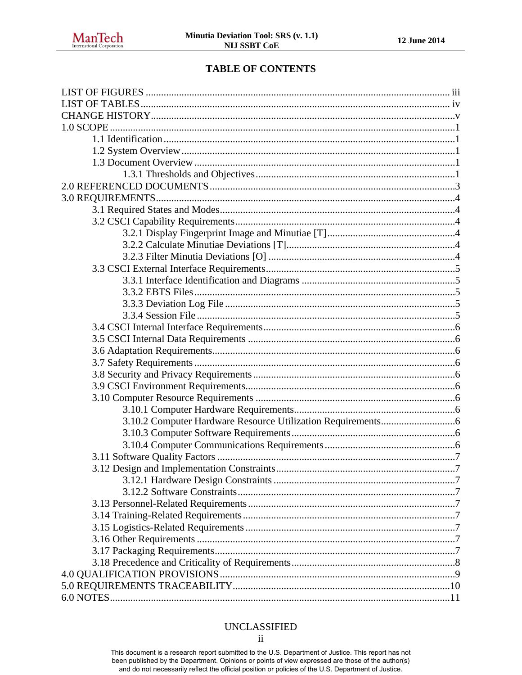## **TABLE OF CONTENTS**

#### **UNCLASSIFIED**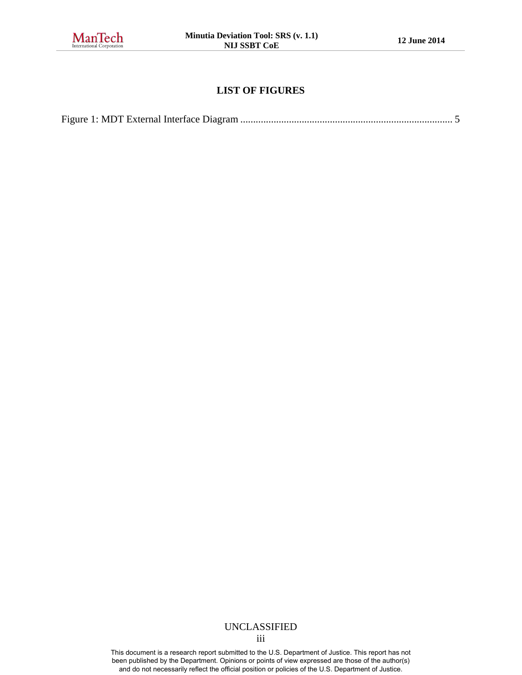

## **LIST OF FIGURES**

<span id="page-3-0"></span>

#### UNCLASSIFIED iii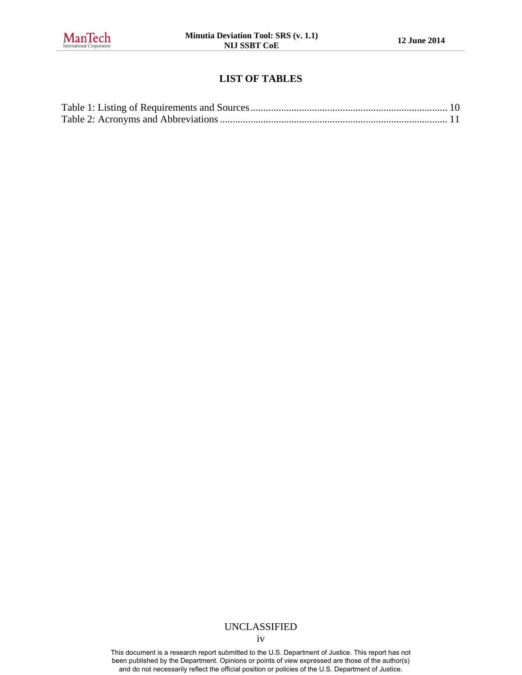<span id="page-4-0"></span>

#### **LIST OF TABLES**

#### UNCLASSIFIED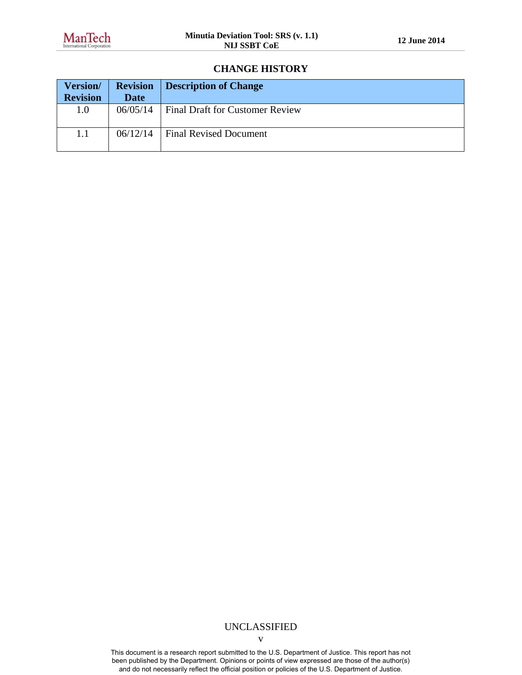#### **CHANGE HISTORY**

<span id="page-5-0"></span>

| <b>Version/</b> | <b>Revision</b> | Description of Change                  |
|-----------------|-----------------|----------------------------------------|
| <b>Revision</b> | <b>Date</b>     |                                        |
| 1.0             | 06/05/14        | <b>Final Draft for Customer Review</b> |
| 1.1             | 06/12/14        | <b>Final Revised Document</b>          |

#### UNCLASSIFIED

v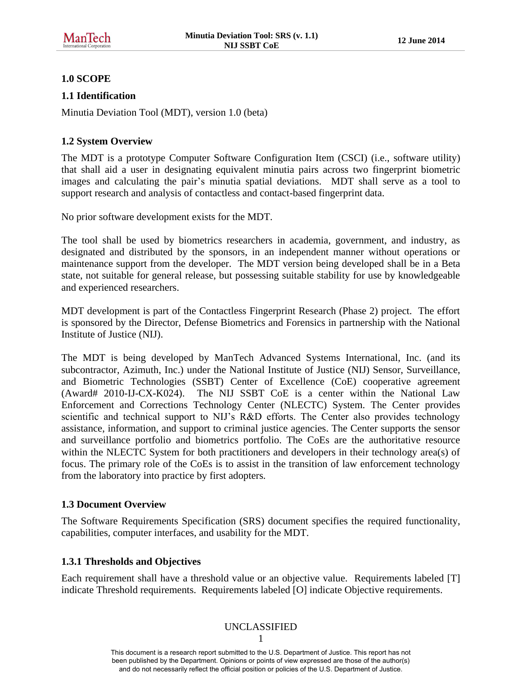## <span id="page-6-0"></span>**1.0 SCOPE**

## <span id="page-6-1"></span>**1.1 Identification**

Minutia Deviation Tool (MDT), version 1.0 (beta)

## <span id="page-6-2"></span>**1.2 System Overview**

The MDT is a prototype Computer Software Configuration Item (CSCI) (i.e., software utility) that shall aid a user in designating equivalent minutia pairs across two fingerprint biometric images and calculating the pair's minutia spatial deviations. MDT shall serve as a tool to support research and analysis of contactless and contact-based fingerprint data.

No prior software development exists for the MDT.

The tool shall be used by biometrics researchers in academia, government, and industry, as designated and distributed by the sponsors, in an independent manner without operations or maintenance support from the developer. The MDT version being developed shall be in a Beta state, not suitable for general release, but possessing suitable stability for use by knowledgeable and experienced researchers.

MDT development is part of the Contactless Fingerprint Research (Phase 2) project. The effort is sponsored by the Director, Defense Biometrics and Forensics in partnership with the National Institute of Justice (NIJ).

The MDT is being developed by ManTech Advanced Systems International, Inc. (and its subcontractor, Azimuth, Inc.) under the National Institute of Justice (NIJ) Sensor, Surveillance, and Biometric Technologies (SSBT) Center of Excellence (CoE) cooperative agreement (Award# 2010-IJ-CX-K024). The NIJ SSBT CoE is a center within the National Law Enforcement and Corrections Technology Center (NLECTC) System. The Center provides scientific and technical support to NIJ's R&D efforts. The Center also provides technology assistance, information, and support to criminal justice agencies. The Center supports the sensor and surveillance portfolio and biometrics portfolio. The CoEs are the authoritative resource within the NLECTC System for both practitioners and developers in their technology area(s) of focus. The primary role of the CoEs is to assist in the transition of law enforcement technology from the laboratory into practice by first adopters.

## <span id="page-6-3"></span>**1.3 Document Overview**

The Software Requirements Specification (SRS) document specifies the required functionality, capabilities, computer interfaces, and usability for the MDT.

## <span id="page-6-4"></span>**1.3.1 Thresholds and Objectives**

Each requirement shall have a threshold value or an objective value. Requirements labeled [T] indicate Threshold requirements. Requirements labeled [O] indicate Objective requirements.

## UNCLASSIFIED

1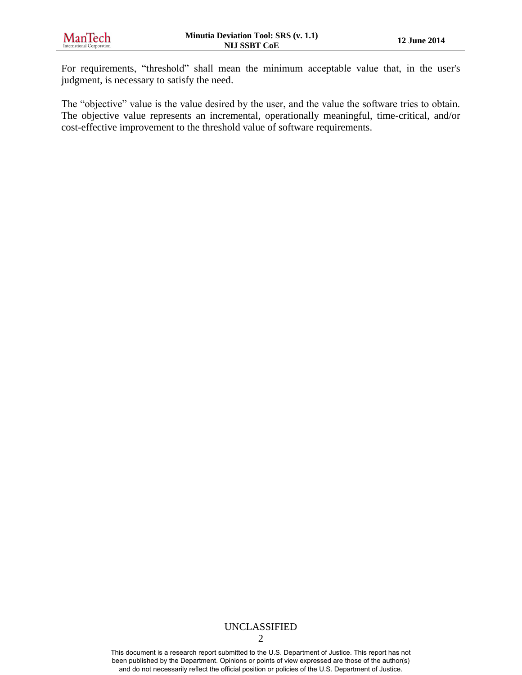For requirements, "threshold" shall mean the minimum acceptable value that, in the user's judgment, is necessary to satisfy the need.

The "objective" value is the value desired by the user, and the value the software tries to obtain. The objective value represents an incremental, operationally meaningful, time-critical, and/or cost-effective improvement to the threshold value of software requirements.

## UNCLASSIFIED

2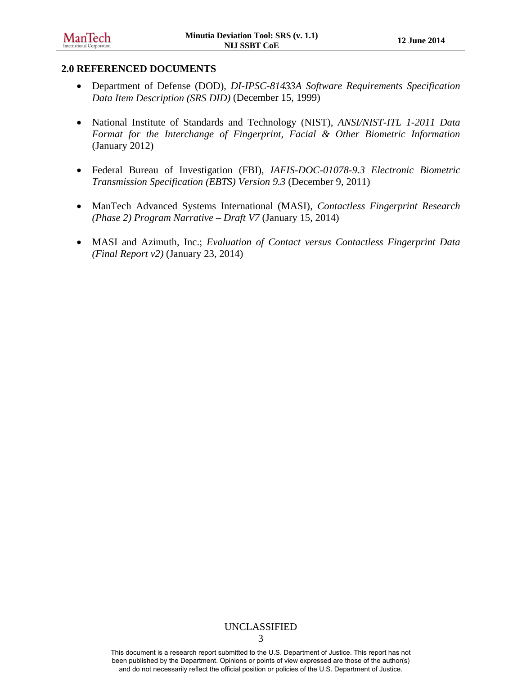#### <span id="page-8-0"></span>**2.0 REFERENCED DOCUMENTS**

- Department of Defense (DOD), *DI-IPSC-81433A Software Requirements Specification Data Item Description (SRS DID)* (December 15, 1999)
- National Institute of Standards and Technology (NIST), *ANSI/NIST-ITL 1-2011 Data Format for the Interchange of Fingerprint, Facial & Other Biometric Information* (January 2012)
- Federal Bureau of Investigation (FBI), *IAFIS-DOC-01078-9.3 Electronic Biometric Transmission Specification (EBTS) Version 9.3* (December 9, 2011)
- ManTech Advanced Systems International (MASI), *Contactless Fingerprint Research (Phase 2) Program Narrative – Draft V7* (January 15, 2014)
- MASI and Azimuth, Inc.; *Evaluation of Contact versus Contactless Fingerprint Data (Final Report v2)* (January 23, 2014)

## UNCLASSIFIED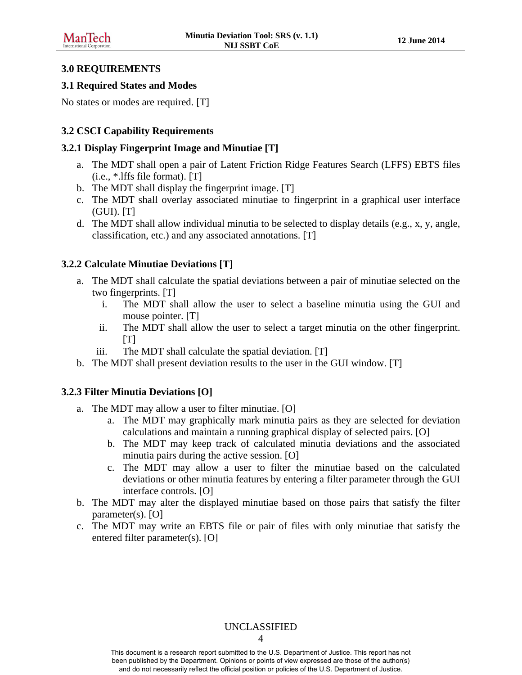#### <span id="page-9-0"></span>**3.0 REQUIREMENTS**

#### <span id="page-9-1"></span>**3.1 Required States and Modes**

No states or modes are required. [T]

## <span id="page-9-2"></span>**3.2 CSCI Capability Requirements**

#### <span id="page-9-3"></span>**3.2.1 Display Fingerprint Image and Minutiae [T]**

- a. The MDT shall open a pair of Latent Friction Ridge Features Search (LFFS) EBTS files (i.e., \*.lffs file format). [T]
- b. The MDT shall display the fingerprint image. [T]
- c. The MDT shall overlay associated minutiae to fingerprint in a graphical user interface (GUI). [T]
- d. The MDT shall allow individual minutia to be selected to display details (e.g., x, y, angle, classification, etc.) and any associated annotations. [T]

## <span id="page-9-4"></span>**3.2.2 Calculate Minutiae Deviations [T]**

- a. The MDT shall calculate the spatial deviations between a pair of minutiae selected on the two fingerprints. [T]
	- i. The MDT shall allow the user to select a baseline minutia using the GUI and mouse pointer. [T]
	- ii. The MDT shall allow the user to select a target minutia on the other fingerprint.  $[T]$
	- iii. The MDT shall calculate the spatial deviation. [T]
- b. The MDT shall present deviation results to the user in the GUI window. [T]

## <span id="page-9-5"></span>**3.2.3 Filter Minutia Deviations [O]**

- a. The MDT may allow a user to filter minutiae. [O]
	- a. The MDT may graphically mark minutia pairs as they are selected for deviation calculations and maintain a running graphical display of selected pairs. [O]
	- b. The MDT may keep track of calculated minutia deviations and the associated minutia pairs during the active session. [O]
	- c. The MDT may allow a user to filter the minutiae based on the calculated deviations or other minutia features by entering a filter parameter through the GUI interface controls. [O]
- b. The MDT may alter the displayed minutiae based on those pairs that satisfy the filter parameter(s). [O]
- c. The MDT may write an EBTS file or pair of files with only minutiae that satisfy the entered filter parameter(s). [O]

#### UNCLASSIFIED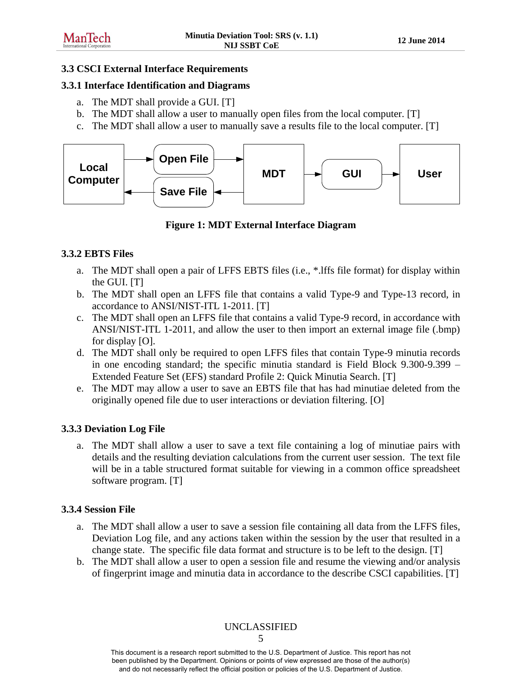#### <span id="page-10-0"></span>**3.3 CSCI External Interface Requirements**

#### <span id="page-10-1"></span>**3.3.1 Interface Identification and Diagrams**

- a. The MDT shall provide a GUI. [T]
- b. The MDT shall allow a user to manually open files from the local computer. [T]
- c. The MDT shall allow a user to manually save a results file to the local computer. [T]



**Figure 1: MDT External Interface Diagram** 

#### <span id="page-10-5"></span><span id="page-10-2"></span>**3.3.2 EBTS Files**

- a. The MDT shall open a pair of LFFS EBTS files (i.e., \*.lffs file format) for display within the GUI. [T]
- b. The MDT shall open an LFFS file that contains a valid Type-9 and Type-13 record, in accordance to ANSI/NIST-ITL 1-2011. [T]
- c. The MDT shall open an LFFS file that contains a valid Type-9 record, in accordance with ANSI/NIST-ITL 1-2011, and allow the user to then import an external image file (.bmp) for display [O].
- d. The MDT shall only be required to open LFFS files that contain Type-9 minutia records in one encoding standard; the specific minutia standard is Field Block 9.300-9.399 – Extended Feature Set (EFS) standard Profile 2: Quick Minutia Search. [T]
- e. The MDT may allow a user to save an EBTS file that has had minutiae deleted from the originally opened file due to user interactions or deviation filtering. [O]

## <span id="page-10-3"></span>**3.3.3 Deviation Log File**

a. The MDT shall allow a user to save a text file containing a log of minutiae pairs with details and the resulting deviation calculations from the current user session. The text file will be in a table structured format suitable for viewing in a common office spreadsheet software program. [T]

#### <span id="page-10-4"></span>**3.3.4 Session File**

- a. The MDT shall allow a user to save a session file containing all data from the LFFS files, Deviation Log file, and any actions taken within the session by the user that resulted in a change state. The specific file data format and structure is to be left to the design. [T]
- b. The MDT shall allow a user to open a session file and resume the viewing and/or analysis of fingerprint image and minutia data in accordance to the describe CSCI capabilities. [T]

## UNCLASSIFIED

5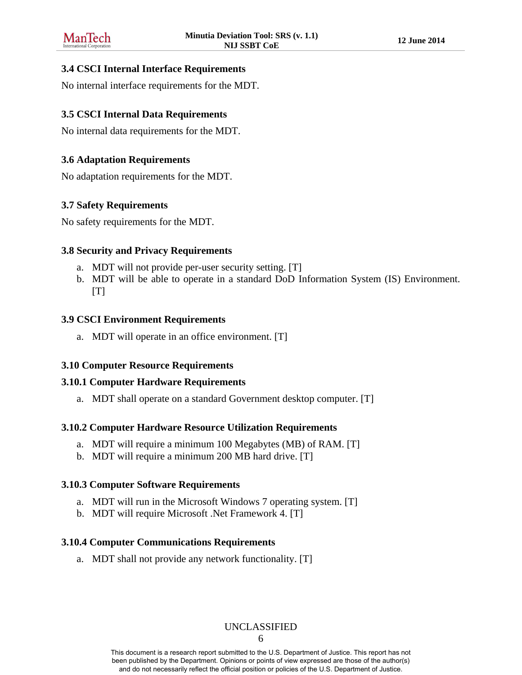#### <span id="page-11-0"></span>**3.4 CSCI Internal Interface Requirements**

No internal interface requirements for the MDT.

## <span id="page-11-1"></span>**3.5 CSCI Internal Data Requirements**

No internal data requirements for the MDT.

## <span id="page-11-2"></span>**3.6 Adaptation Requirements**

No adaptation requirements for the MDT.

#### <span id="page-11-3"></span>**3.7 Safety Requirements**

No safety requirements for the MDT.

#### <span id="page-11-4"></span>**3.8 Security and Privacy Requirements**

- a. MDT will not provide per-user security setting. [T]
- b. MDT will be able to operate in a standard DoD Information System (IS) Environment.  $[T]$

#### <span id="page-11-5"></span>**3.9 CSCI Environment Requirements**

a. MDT will operate in an office environment. [T]

#### <span id="page-11-6"></span>**3.10 Computer Resource Requirements**

#### <span id="page-11-7"></span>**3.10.1 Computer Hardware Requirements**

a. MDT shall operate on a standard Government desktop computer. [T]

#### <span id="page-11-8"></span>**3.10.2 Computer Hardware Resource Utilization Requirements**

- a. MDT will require a minimum 100 Megabytes (MB) of RAM. [T]
- b. MDT will require a minimum 200 MB hard drive. [T]

#### <span id="page-11-9"></span>**3.10.3 Computer Software Requirements**

- a. MDT will run in the Microsoft Windows 7 operating system. [T]
- b. MDT will require Microsoft .Net Framework 4. [T]

#### <span id="page-11-10"></span>**3.10.4 Computer Communications Requirements**

a. MDT shall not provide any network functionality. [T]

#### UNCLASSIFIED

6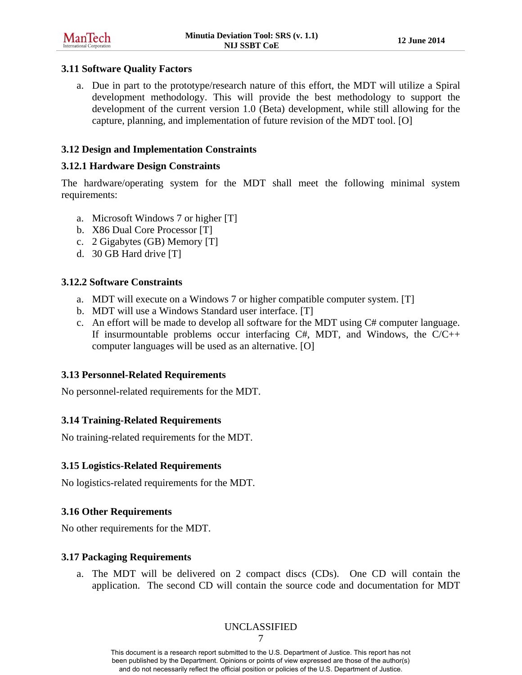#### <span id="page-12-0"></span>**3.11 Software Quality Factors**

a. Due in part to the prototype/research nature of this effort, the MDT will utilize a Spiral development methodology. This will provide the best methodology to support the development of the current version 1.0 (Beta) development, while still allowing for the capture, planning, and implementation of future revision of the MDT tool. [O]

## <span id="page-12-1"></span>**3.12 Design and Implementation Constraints**

#### <span id="page-12-2"></span>**3.12.1 Hardware Design Constraints**

The hardware/operating system for the MDT shall meet the following minimal system requirements:

- a. Microsoft Windows 7 or higher [T]
- b. X86 Dual Core Processor [T]
- c. 2 Gigabytes (GB) Memory [T]
- d. 30 GB Hard drive [T]

#### <span id="page-12-3"></span>**3.12.2 Software Constraints**

- a. MDT will execute on a Windows 7 or higher compatible computer system. [T]
- b. MDT will use a Windows Standard user interface. [T]
- c. An effort will be made to develop all software for the MDT using C# computer language. If insurmountable problems occur interfacing  $C#$ , MDT, and Windows, the  $C/C++$ computer languages will be used as an alternative. [O]

#### <span id="page-12-4"></span>**3.13 Personnel-Related Requirements**

No personnel-related requirements for the MDT.

#### <span id="page-12-5"></span>**3.14 Training-Related Requirements**

No training-related requirements for the MDT.

#### <span id="page-12-6"></span>**3.15 Logistics-Related Requirements**

No logistics-related requirements for the MDT.

#### <span id="page-12-7"></span>**3.16 Other Requirements**

No other requirements for the MDT.

#### <span id="page-12-8"></span>**3.17 Packaging Requirements**

a. The MDT will be delivered on 2 compact discs (CDs). One CD will contain the application. The second CD will contain the source code and documentation for MDT

## UNCLASSIFIED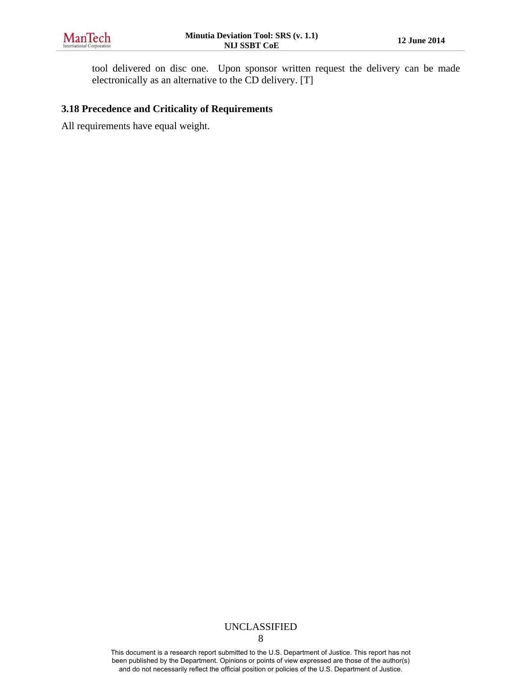tool delivered on disc one. Upon sponsor written request the delivery can be made electronically as an alternative to the CD delivery. [T]

#### <span id="page-13-0"></span>**3.18 Precedence and Criticality of Requirements**

All requirements have equal weight.

## UNCLASSIFIED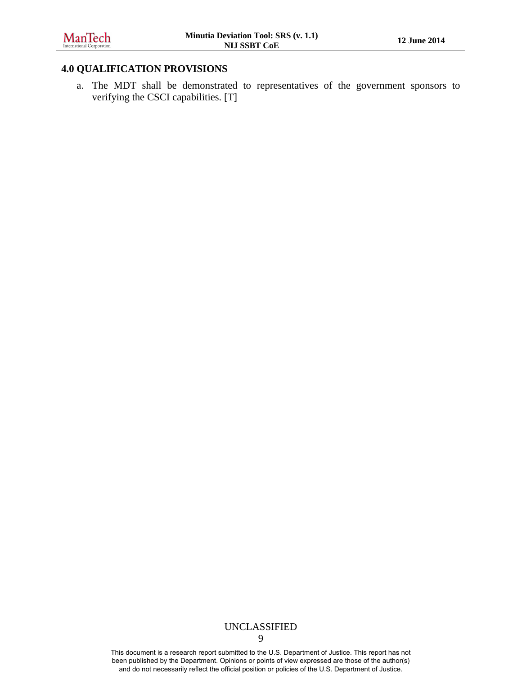## <span id="page-14-0"></span>**4.0 QUALIFICATION PROVISIONS**

a. The MDT shall be demonstrated to representatives of the government sponsors to verifying the CSCI capabilities. [T]

## UNCLASSIFIED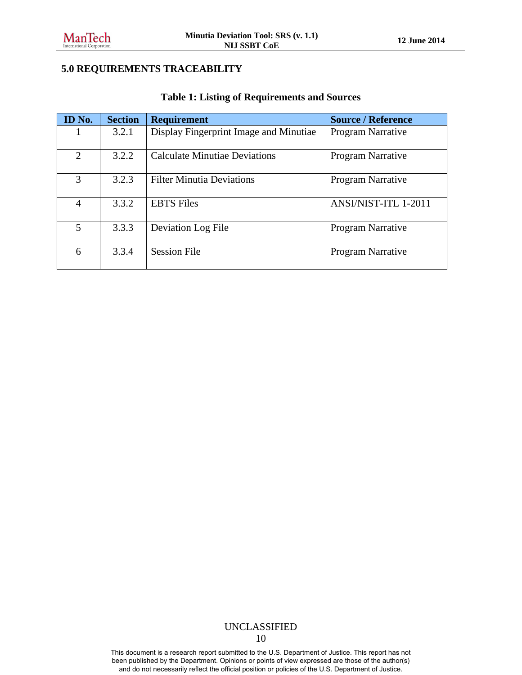## <span id="page-15-0"></span>**5.0 REQUIREMENTS TRACEABILITY**

<span id="page-15-1"></span>

| ID No.         | <b>Section</b> | <b>Requirement</b>                     | <b>Source / Reference</b> |
|----------------|----------------|----------------------------------------|---------------------------|
|                | 3.2.1          | Display Fingerprint Image and Minutiae | <b>Program Narrative</b>  |
| $\overline{2}$ | 3.2.2          | <b>Calculate Minutiae Deviations</b>   | Program Narrative         |
| 3              | 3.2.3          | <b>Filter Minutia Deviations</b>       | Program Narrative         |
| 4              | 3.3.2          | <b>EBTS</b> Files                      | ANSI/NIST-ITL 1-2011      |
| 5              | 3.3.3          | Deviation Log File                     | Program Narrative         |
| 6              | 3.3.4          | <b>Session File</b>                    | Program Narrative         |

#### **Table 1: Listing of Requirements and Sources**

#### UNCLASSIFIED 10